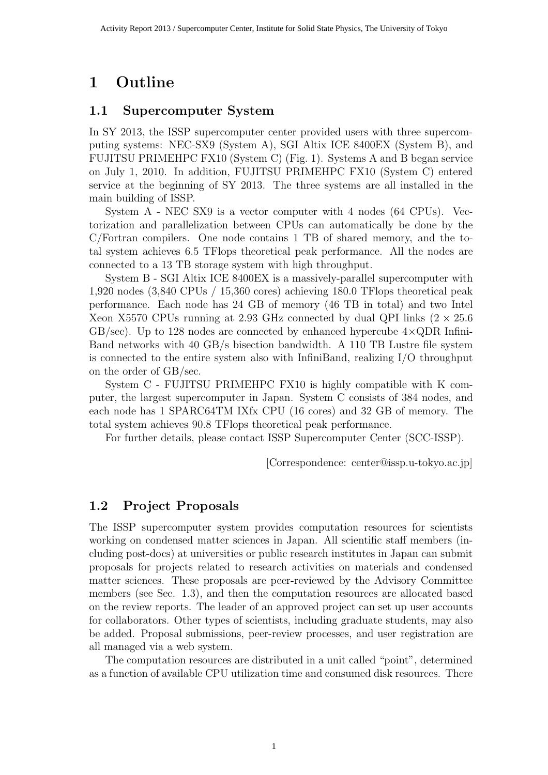# 1 Outline

### 1.1 Supercomputer System

In SY 2013, the ISSP supercomputer center provided users with three supercomputing systems: NEC-SX9 (System A), SGI Altix ICE 8400EX (System B), and FUJITSU PRIMEHPC FX10 (System C) (Fig. 1). Systems A and B began service on July 1, 2010. In addition, FUJITSU PRIMEHPC FX10 (System C) entered service at the beginning of SY 2013. The three systems are all installed in the main building of ISSP.

System A - NEC SX9 is a vector computer with 4 nodes (64 CPUs). Vectorization and parallelization between CPUs can automatically be done by the C/Fortran compilers. One node contains 1 TB of shared memory, and the total system achieves 6.5 TFlops theoretical peak performance. All the nodes are connected to a 13 TB storage system with high throughput.

System B - SGI Altix ICE 8400EX is a massively-parallel supercomputer with 1,920 nodes (3,840 CPUs / 15,360 cores) achieving 180.0 TFlops theoretical peak performance. Each node has 24 GB of memory (46 TB in total) and two Intel Xeon X5570 CPUs running at 2.93 GHz connected by dual QPI links  $(2 \times 25.6$  $GB/sec$ ). Up to 128 nodes are connected by enhanced hypercube  $4 \times QDR$  Infini-Band networks with 40 GB/s bisection bandwidth. A 110 TB Lustre file system is connected to the entire system also with InfiniBand, realizing I/O throughput on the order of GB/sec.

System C - FUJITSU PRIMEHPC FX10 is highly compatible with K computer, the largest supercomputer in Japan. System C consists of 384 nodes, and each node has 1 SPARC64TM IXfx CPU (16 cores) and 32 GB of memory. The total system achieves 90.8 TFlops theoretical peak performance.

For further details, please contact ISSP Supercomputer Center (SCC-ISSP).

[Correspondence: center@issp.u-tokyo.ac.jp]

# 1.2 Project Proposals

The ISSP supercomputer system provides computation resources for scientists working on condensed matter sciences in Japan. All scientific staff members (including post-docs) at universities or public research institutes in Japan can submit proposals for projects related to research activities on materials and condensed matter sciences. These proposals are peer-reviewed by the Advisory Committee members (see Sec. 1.3), and then the computation resources are allocated based on the review reports. The leader of an approved project can set up user accounts for collaborators. Other types of scientists, including graduate students, may also be added. Proposal submissions, peer-review processes, and user registration are all managed via a web system.

The computation resources are distributed in a unit called "point", determined as a function of available CPU utilization time and consumed disk resources. There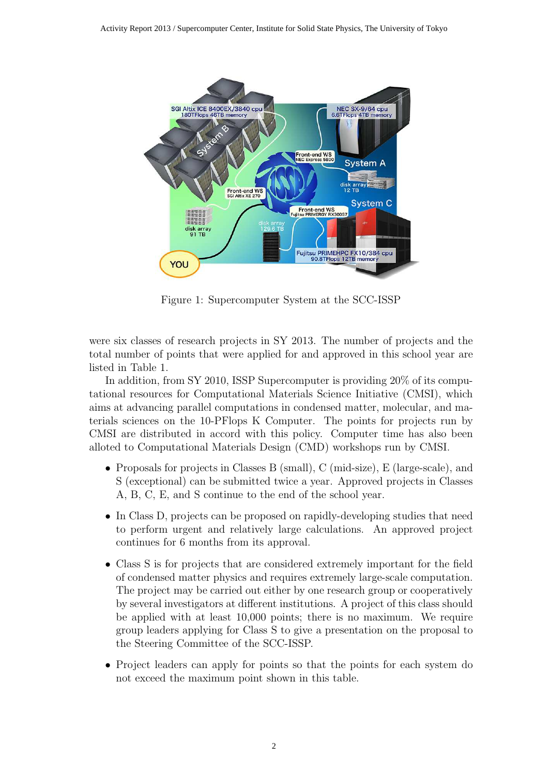

Figure 1: Supercomputer System at the SCC-ISSP

were six classes of research projects in SY 2013. The number of projects and the total number of points that were applied for and approved in this school year are listed in Table 1.

In addition, from SY 2010, ISSP Supercomputer is providing 20% of its computational resources for Computational Materials Science Initiative (CMSI), which aims at advancing parallel computations in condensed matter, molecular, and materials sciences on the 10-PFlops K Computer. The points for projects run by CMSI are distributed in accord with this policy. Computer time has also been alloted to Computational Materials Design (CMD) workshops run by CMSI.

- Proposals for projects in Classes B (small), C (mid-size), E (large-scale), and S (exceptional) can be submitted twice a year. Approved projects in Classes A, B, C, E, and S continue to the end of the school year.
- In Class D, projects can be proposed on rapidly-developing studies that need to perform urgent and relatively large calculations. An approved project continues for 6 months from its approval.
- Class S is for projects that are considered extremely important for the field of condensed matter physics and requires extremely large-scale computation. The project may be carried out either by one research group or cooperatively by several investigators at different institutions. A project of this class should be applied with at least 10,000 points; there is no maximum. We require group leaders applying for Class S to give a presentation on the proposal to the Steering Committee of the SCC-ISSP.
- Project leaders can apply for points so that the points for each system do not exceed the maximum point shown in this table.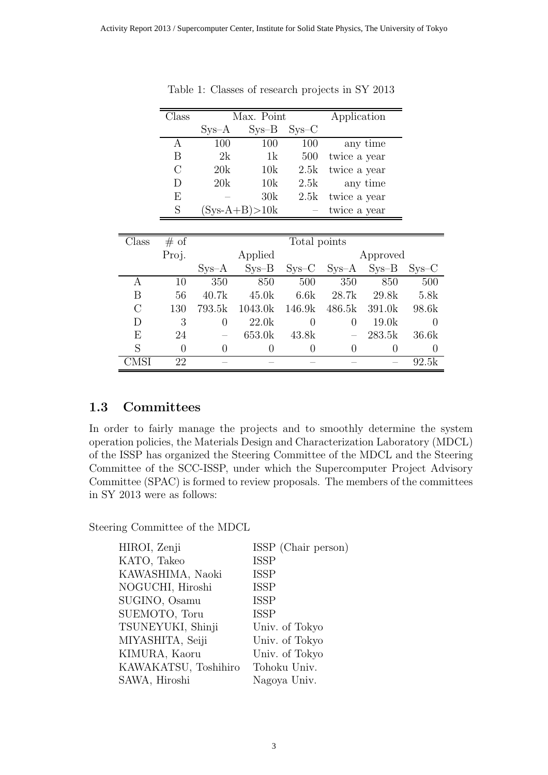|         |                | $Sys-A$        | $Sys-B$           | $SYS-C$      |                |          |          |
|---------|----------------|----------------|-------------------|--------------|----------------|----------|----------|
|         | А              | 100            | 100               | 100          |                | any time |          |
|         | Β              | 2k             | 1k                | 500          | twice a year   |          |          |
|         | $\overline{C}$ | 20k            | 10k               | 2.5k         | twice a year   |          |          |
|         | D              | 20k            | 10k               | 2.5k         |                | any time |          |
|         | E              |                | 30k               | 2.5k         | twice a year   |          |          |
|         | $\mathbf S$    |                | $(Sys-A+B) > 10k$ |              | twice a year   |          |          |
|         |                |                |                   |              |                |          |          |
| Class   | # of           |                |                   | Total points |                |          |          |
|         | Proj.          |                | Applied           |              |                | Approved |          |
|         |                | $Sys-A$        | $Sys-B$           | $SYS-C$      | $Sys-A$        | $Sys-B$  | $Sys-C$  |
| Α       | 10             | 350            | 850               | 500          | 350            | 850      | 500      |
| B       | 56             | 40.7k          | 45.0k             | 6.6k         | 28.7k          | 29.8k    | 5.8k     |
| $\rm C$ | 130            | 793.5k         | 1043.0k           | 146.9k       | 486.5k         | 391.0k   | 98.6k    |
| D       | 3              | $\overline{0}$ | 22.0k             | $\theta$     | $\theta$       | 19.0k    | $\theta$ |
| E       | 24             |                | 653.0k            | 43.8k        |                | 283.5k   | 36.6k    |
| S       | 0              | $\overline{0}$ | $\theta$          | 0            | $\overline{0}$ | 0        | $\theta$ |
| CMSI    | 22             |                |                   |              |                |          | 92.5k    |

Table 1: Classes of research projects in SY 2013

Class Max. Point Application

#### 1.3 Committees

In order to fairly manage the projects and to smoothly determine the system operation policies, the Materials Design and Characterization Laboratory (MDCL) of the ISSP has organized the Steering Committee of the MDCL and the Steering Committee of the SCC-ISSP, under which the Supercomputer Project Advisory Committee (SPAC) is formed to review proposals. The members of the committees in SY 2013 were as follows:

Steering Committee of the MDCL

| ISSP (Chair person) |
|---------------------|
| <b>ISSP</b>         |
| <b>ISSP</b>         |
| <b>ISSP</b>         |
| <b>ISSP</b>         |
| <b>ISSP</b>         |
| Univ. of Tokyo      |
| Univ. of Tokyo      |
| Univ. of Tokyo      |
| Tohoku Univ.        |
| Nagoya Univ.        |
|                     |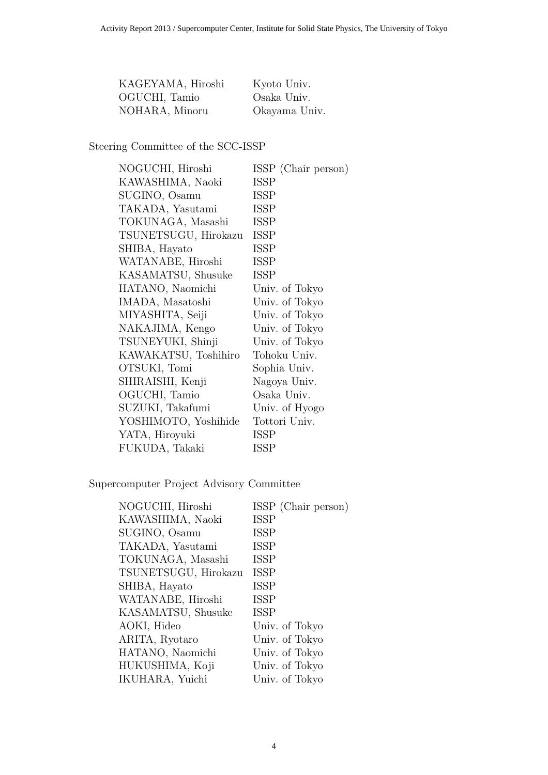| KAGEYAMA, Hiroshi | Kyoto Univ.   |
|-------------------|---------------|
| OGUCHI, Tamio     | Osaka Univ.   |
| NOHARA, Minoru    | Okayama Univ. |

Steering Committee of the SCC-ISSP

| NOGUCHI, Hiroshi     | ISSP (Chair person) |
|----------------------|---------------------|
| KAWASHIMA, Naoki     | <b>ISSP</b>         |
| SUGINO, Osamu        | <b>ISSP</b>         |
| TAKADA, Yasutami     | <b>ISSP</b>         |
| TOKUNAGA, Masashi    | <b>ISSP</b>         |
| TSUNETSUGU, Hirokazu | <b>ISSP</b>         |
| SHIBA, Hayato        | ISSP                |
| WATANABE, Hiroshi    | <b>ISSP</b>         |
| KASAMATSU, Shusuke   | <b>ISSP</b>         |
| HATANO, Naomichi     | Univ. of Tokyo      |
| IMADA, Masatoshi     | Univ. of Tokyo      |
| MIYASHITA, Seiji     | Univ. of Tokyo      |
| NAKAJIMA, Kengo      | Univ. of Tokyo      |
| TSUNEYUKI, Shinji    | Univ. of Tokyo      |
| KAWAKATSU, Toshihiro | Tohoku Univ.        |
| OTSUKI, Tomi         | Sophia Univ.        |
| SHIRAISHI, Kenji     | Nagoya Univ.        |
| OGUCHI, Tamio        | Osaka Univ.         |
| SUZUKI, Takafumi     | Univ. of Hyogo      |
| YOSHIMOTO, Yoshihide | Tottori Univ.       |
| YATA, Hiroyuki       | ISSP                |
| FUKUDA, Takaki       | <b>ISSP</b>         |

Supercomputer Project Advisory Committee

| NOGUCHI, Hiroshi     | ISSP (Chair person) |
|----------------------|---------------------|
| KAWASHIMA, Naoki     | <b>ISSP</b>         |
| SUGINO, Osamu        | <b>ISSP</b>         |
| TAKADA, Yasutami     | <b>ISSP</b>         |
| TOKUNAGA, Masashi    | <b>ISSP</b>         |
| TSUNETSUGU, Hirokazu | <b>ISSP</b>         |
| SHIBA, Hayato        | <b>ISSP</b>         |
| WATANABE, Hiroshi    | <b>ISSP</b>         |
| KASAMATSU, Shusuke   | <b>ISSP</b>         |
| AOKI, Hideo          | Univ. of Tokyo      |
| ARITA, Ryotaro       | Univ. of Tokyo      |
| HATANO, Naomichi     | Univ. of Tokyo      |
| HUKUSHIMA, Koji      | Univ. of Tokyo      |
| IKUHARA, Yuichi      | Univ. of Tokyo      |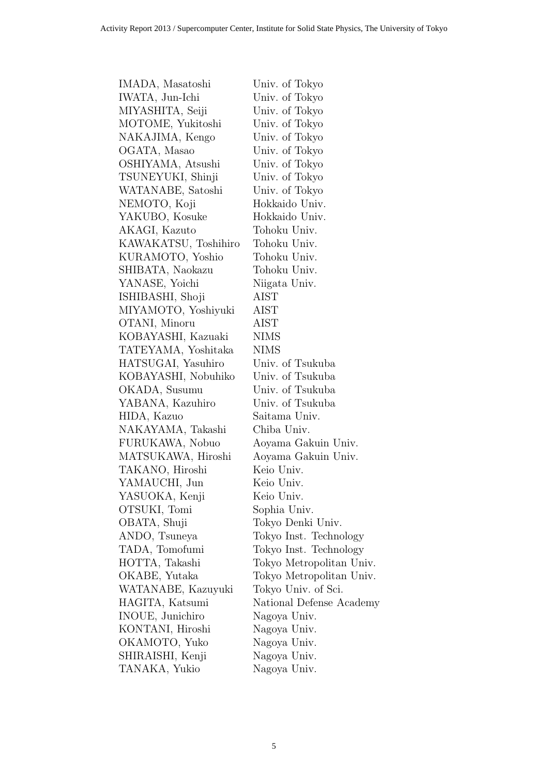| IMADA, Masatoshi     | Univ. of Tokyo           |
|----------------------|--------------------------|
| IWATA, Jun-Ichi      | Univ. of Tokyo           |
| MIYASHITA, Seiji     | Univ. of Tokyo           |
| MOTOME, Yukitoshi    | Univ. of Tokyo           |
| NAKAJIMA, Kengo      | Univ. of Tokyo           |
| OGATA, Masao         | Univ. of Tokyo           |
| OSHIYAMA, Atsushi    | Univ. of Tokyo           |
| TSUNEYUKI, Shinji    | Univ. of Tokyo           |
| WATANABE, Satoshi    | Univ. of Tokyo           |
| NEMOTO, Koji         | Hokkaido Univ.           |
| YAKUBO, Kosuke       | Hokkaido Univ.           |
| AKAGI, Kazuto        | Tohoku Univ.             |
| KAWAKATSU, Toshihiro | Tohoku Univ.             |
| KURAMOTO, Yoshio     | Tohoku Univ.             |
| SHIBATA, Naokazu     | Tohoku Univ.             |
| YANASE, Yoichi       | Niigata Univ.            |
| ISHIBASHI, Shoji     | AIST                     |
| MIYAMOTO, Yoshiyuki  | AIST                     |
| OTANI, Minoru        | AIST                     |
| KOBAYASHI, Kazuaki   | <b>NIMS</b>              |
| TATEYAMA, Yoshitaka  | <b>NIMS</b>              |
| HATSUGAI, Yasuhiro   | Univ. of Tsukuba         |
| KOBAYASHI, Nobuhiko  | Univ. of Tsukuba         |
| OKADA, Susumu        | Univ. of Tsukuba         |
| YABANA, Kazuhiro     | Univ. of Tsukuba         |
| HIDA, Kazuo          | Saitama Univ.            |
| NAKAYAMA, Takashi    | Chiba Univ.              |
| FURUKAWA, Nobuo      | Aoyama Gakuin Univ.      |
| MATSUKAWA, Hiroshi   | Aoyama Gakuin Univ.      |
| TAKANO, Hiroshi      | Keio Univ.               |
| YAMAUCHI, Jun        | Keio Univ.               |
| YASUOKA, Kenji       | Keio Univ.               |
| OTSUKI, Tomi         | Sophia Univ.             |
| OBATA, Shuji         | Tokyo Denki Univ.        |
| ANDO, Tsuneya        | Tokyo Inst. Technology   |
| TADA, Tomofumi       | Tokyo Inst. Technology   |
| HOTTA, Takashi       | Tokyo Metropolitan Univ. |
| OKABE, Yutaka        | Tokyo Metropolitan Univ. |
| WATANABE, Kazuyuki   | Tokyo Univ. of Sci.      |
| HAGITA, Katsumi      | National Defense Academy |
| INOUE, Junichiro     | Nagoya Univ.             |
| KONTANI, Hiroshi     | Nagoya Univ.             |
| OKAMOTO, Yuko        | Nagoya Univ.             |
| SHIRAISHI, Kenji     | Nagoya Univ.             |
| TANAKA, Yukio        | Nagoya Univ.             |